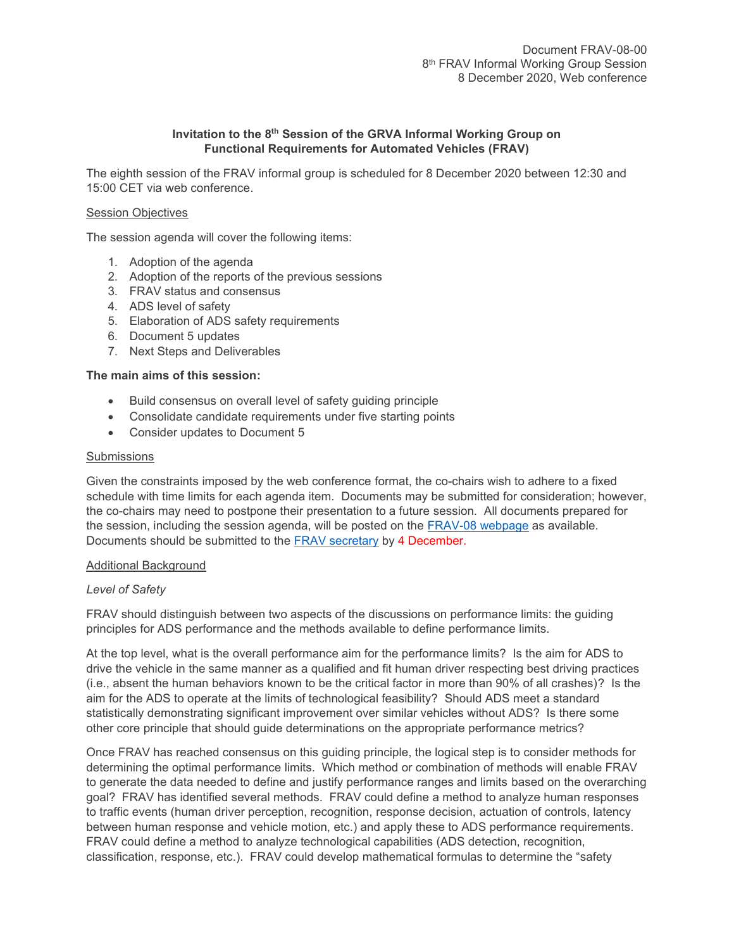# **Invitation to the 8 th Session of the GRVA Informal Working Group on Functional Requirements for Automated Vehicles (FRAV)**

The eighth session of the FRAV informal group is scheduled for 8 December 2020 between 12:30 and 15:00 CET via web conference.

## Session Objectives

The session agenda will cover the following items:

- 1. Adoption of the agenda
- 2. Adoption of the reports of the previous sessions
- 3. FRAV status and consensus
- 4. ADS level of safety
- 5. Elaboration of ADS safety requirements
- 6. Document 5 updates
- 7. Next Steps and Deliverables

## **The main aims of this session:**

- Build consensus on overall level of safety guiding principle
- Consolidate candidate requirements under five starting points
- Consider updates to Document 5

#### **Submissions**

Given the constraints imposed by the web conference format, the co-chairs wish to adhere to a fixed schedule with time limits for each agenda item. Documents may be submitted for consideration; however, the co-chairs may need to postpone their presentation to a future session. All documents prepared for the session, including the session agenda, will be posted on the [FRAV-08](https://wiki.unece.org/display/trans/FRAV+8th+session) webpage as available. Documents should be submitted to the [FRAV secretary](mailto:jcreamer@americanautocouncil.org) by 4 December.

### Additional Background

### *Level of Safety*

FRAV should distinguish between two aspects of the discussions on performance limits: the guiding principles for ADS performance and the methods available to define performance limits.

At the top level, what is the overall performance aim for the performance limits? Is the aim for ADS to drive the vehicle in the same manner as a qualified and fit human driver respecting best driving practices (i.e., absent the human behaviors known to be the critical factor in more than 90% of all crashes)? Is the aim for the ADS to operate at the limits of technological feasibility? Should ADS meet a standard statistically demonstrating significant improvement over similar vehicles without ADS? Is there some other core principle that should guide determinations on the appropriate performance metrics?

Once FRAV has reached consensus on this guiding principle, the logical step is to consider methods for determining the optimal performance limits. Which method or combination of methods will enable FRAV to generate the data needed to define and justify performance ranges and limits based on the overarching goal? FRAV has identified several methods. FRAV could define a method to analyze human responses to traffic events (human driver perception, recognition, response decision, actuation of controls, latency between human response and vehicle motion, etc.) and apply these to ADS performance requirements. FRAV could define a method to analyze technological capabilities (ADS detection, recognition, classification, response, etc.). FRAV could develop mathematical formulas to determine the "safety